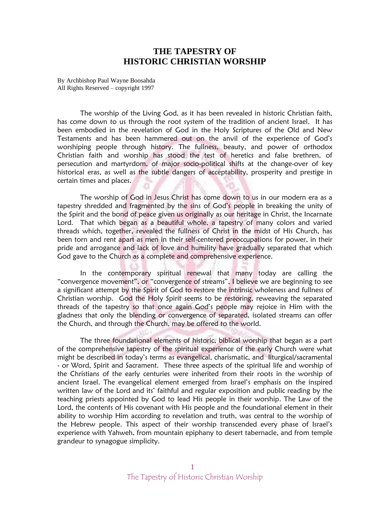## **THE TAPESTRY OF HISTORIC CHRISTIAN WORSHIP**

By Archbishop Paul Wayne Boosahda All Rights Reserved – copyright 1997

The worship of the Living God, as it has been revealed in historic Christian faith, has come down to us through the root system of the tradition of ancient Israel. It has been embodied in the revelation of God in the Holy Scriptures of the Old and New Testaments and has been hammered out on the anvil of the experience of God's worshiping people through history. The fullness, beauty, and power of orthodox Christian faith and worship has stood the test of heretics and false brethren, of persecution and martyrdom, of major socio-political shifts at the change-over of key historical eras, as well as the subtle dangers of acceptability, prosperity and prestige in certain times and places.

The worship of God in Jesus Christ has come down to us in our modern era as a tapestry shredded and fragmented by the sins of God's people in breaking the unity of the Spirit and the bond of peace given us originally as our heritage in Christ, the Incarnate Lord. That which began as a beautiful whole, a tapestry of many colors and varied threads which, together, revealed the fullness of Christ in the midst of His Church, has been torn and rent apart as men in their self-centered preoccupations for power, in their pride and arrogance and lack of love and humility have gradually separated that which God gave to the Church as a complete and comprehensive experience.

In the contemporary spiritual renewal that many today are calling the "convergence movement", or "convergence of streams", I believe we are beginning to see a significant attempt by the Spirit of God to restore the intrinsic wholeness and fullness of Christian worship. God the Holy Spirit seems to be restoring, reweaving the separated threads of the tapestry so that once again God's people may rejoice in Him with the gladness that only the blending or convergence of separated, isolated streams can offer the Church, and through the Church, may be offered to the world.

The three foundational elements of historic, biblical worship that began as a part of the comprehensive tapestry of the spiritual experience of the early Church were what might be described in today's terms as evangelical, charismatic, and liturgical/sacramental - or Word, Spirit and Sacrament. These three aspects of the spiritual life and worship of the Christians of the early centuries were inherited from their roots in the worship of ancient Israel. The evangelical element emerged from Israel's emphasis on the inspired written law of the Lord and its' faithful and regular exposition and public reading by the teaching priests appointed by God to lead His people in their worship. The Law of the Lord, the contents of His covenant with His people and the foundational element in their ability to worship Him according to revelation and truth, was central to the worship of the Hebrew people. This aspect of their worship transcended every phase of Israel's experience with Yahweh, from mountain epiphany to desert tabernacle, and from temple grandeur to synagogue simplicity.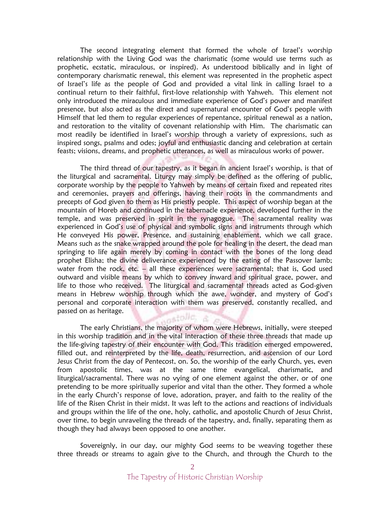The second integrating element that formed the whole of Israel's worship relationship with the Living God was the charismatic (some would use terms such as prophetic, ecstatic, miraculous, or inspired). As understood biblically and in light of contemporary charismatic renewal, this element was represented in the prophetic aspect of Israel's life as the people of God and provided a vital link in calling Israel to a continual return to their faithful, first-love relationship with Yahweh. This element not only introduced the miraculous and immediate experience of God's power and manifest presence, but also acted as the direct and supernatural encounter of God's people with Himself that led them to regular experiences of repentance, spiritual renewal as a nation, and restoration to the vitality of covenant relationship with Him. The charismatic can most readily be identified in Israel's worship through a variety of expressions, such as inspired songs, psalms and odes; joyful and enthusiastic dancing and celebration at certain feasts; visions, dreams, and prophetic utterances, as well as miraculous works of power.

The third thread of our tapestry, as it began in ancient Israel's worship, is that of the liturgical and sacramental. Liturgy may simply be defined as the offering of public, corporate worship by the people to Yahweh by means of certain fixed and repeated rites and ceremonies, prayers and offerings, having their roots in the commandments and precepts of God given to them as His priestly people. This aspect of worship began at the mountain of Horeb and continued in the tabernacle experience, developed further in the temple, and was preserved in spirit in the synagogue. The sacramental reality was experienced in God's use of physical and symbolic signs and instruments through which He conveyed His power, Presence, and sustaining enablement, which we call grace. Means such as the snake wrapped around the pole for healing in the desert, the dead man springing to life again merely by coming in contact with the bones of the long dead prophet Elisha; the divine deliverance experienced by the eating of the Passover lamb; water from the rock, etc. - all these experiences were sacramental; that is, God used outward and visible means by which to convey inward and spiritual grace, power, and life to those who received. The liturgical and sacramental threads acted as God-given means in Hebrew worship through which the awe, wonder, and mystery of God's personal and corporate interaction with them was preserved, constantly recalled, and passed on as heritage. sastolic,

The early Christians, the majority of whom were Hebrews, initially, were steeped in this worship tradition and in the vital interaction of these three threads that made up the life-giving tapestry of their encounter with God. This tradition emerged empowered, filled out, and reinterpreted by the life, death, resurrection, and ascension of our Lord Jesus Christ from the day of Pentecost, on. So, the worship of the early Church, yes, even from apostolic times, was at the same time evangelical, charismatic, and liturgical/sacramental. There was no vying of one element against the other, or of one pretending to be more spiritually superior and vital than the other. They formed a whole in the early Church's response of love, adoration, prayer, and faith to the reality of the life of the Risen Christ in their midst. It was left to the actions and reactions of individuals and groups within the life of the one, holy, catholic, and apostolic Church of Jesus Christ, over time, to begin unraveling the threads of the tapestry, and, finally, separating them as though they had always been opposed to one another.

Sovereignly, in our day, our mighty God seems to be weaving together these three threads or streams to again give to the Church, and through the Church to the